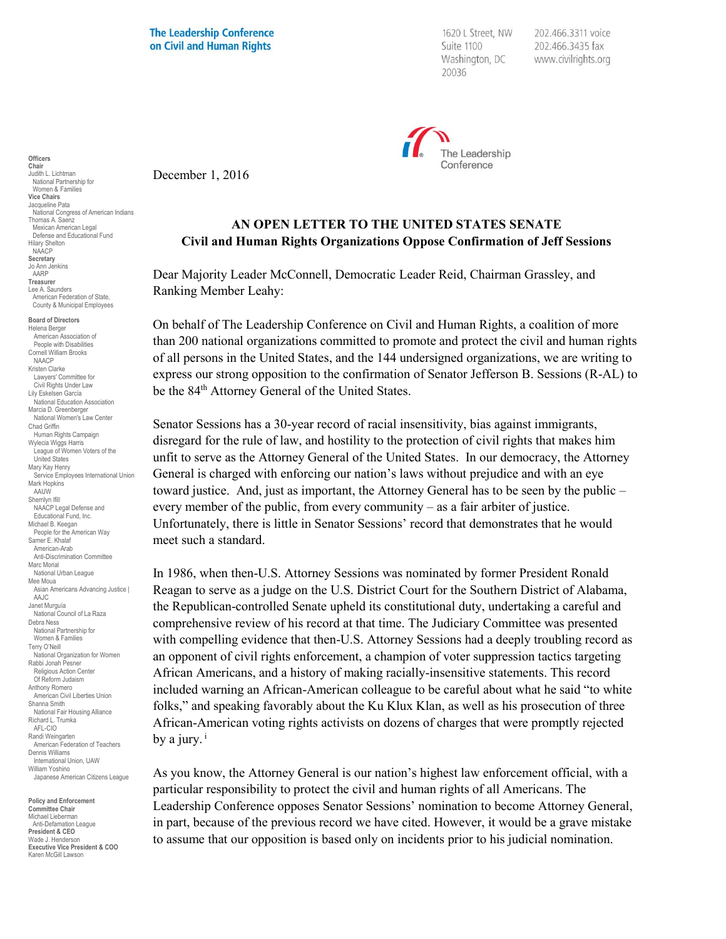**The Leadership Conference** on Civil and Human Rights

1620 L Street, NW Suite 1100 Washington, DC 20036

202.466.3311 voice 202.466.3435 fax www.civilrights.org



December 1, 2016

## **AN OPEN LETTER TO THE UNITED STATES SENATE Civil and Human Rights Organizations Oppose Confirmation of Jeff Sessions**

Dear Majority Leader McConnell, Democratic Leader Reid, Chairman Grassley, and Ranking Member Leahy:

On behalf of The Leadership Conference on Civil and Human Rights, a coalition of more than 200 national organizations committed to promote and protect the civil and human rights of all persons in the United States, and the 144 undersigned organizations, we are writing to express our strong opposition to the confirmation of Senator Jefferson B. Sessions (R-AL) to be the 84<sup>th</sup> Attorney General of the United States.

Senator Sessions has a 30-year record of racial insensitivity, bias against immigrants, disregard for the rule of law, and hostility to the protection of civil rights that makes him unfit to serve as the Attorney General of the United States. In our democracy, the Attorney General is charged with enforcing our nation's laws without prejudice and with an eye toward justice. And, just as important, the Attorney General has to be seen by the public – every member of the public, from every community – as a fair arbiter of justice. Unfortunately, there is little in Senator Sessions' record that demonstrates that he would meet such a standard.

In 1986, when then-U.S. Attorney Sessions was nominated by former President Ronald Reagan to serve as a judge on the U.S. District Court for the Southern District of Alabama, the Republican-controlled Senate upheld its constitutional duty, undertaking a careful and comprehensive review of his record at that time. The Judiciary Committee was presented with compelling evidence that then-U.S. Attorney Sessions had a deeply troubling record as an opponent of civil rights enforcement, a champion of voter suppression tactics targeting African Americans, and a history of making racially-insensitive statements. This record included warning an African-American colleague to be careful about what he said "to white folks," and speaking favorably about the Ku Klux Klan, as well as his prosecution of three African-American voting rights activists on dozens of charges that were promptly rejected by a jury. $i$ 

As you know, the Attorney General is our nation's highest law enforcement official, with a particular responsibility to protect the civil and human rights of all Americans. The Leadership Conference opposes Senator Sessions' nomination to become Attorney General, in part, because of the previous record we have cited. However, it would be a grave mistake to assume that our opposition is based only on incidents prior to his judicial nomination.

Women & Families **Vice Chairs** Jacqueline Pata National Congress of American Indians Thomas A. Saenz Mexican American Legal Defense and Educational Fund Hilary Shelton NAACP **Secretary** Jo Ann Jenkins AARP **Treasurer** Lee A. Saunders American Federation of State, County & Municipal Employees **Board of Directors** Helena Berger American Association of People with Disabilities Cornell William Brooks NAACP Kristen Clarke Lawyers' Committee for Civil Rights Under Law Lily Eskelsen García National Education Association Marcia D. Greenberger National Women's Law Center Chad Griffin Human Rights Campaign Wylecia Wiggs Harris League of Women Voters of the United States Mary Kay Henry Service Employees International Union Mark Hopkins AAUW Sherrilyn Ifill NAACP Legal Defense and Educational Fund, Inc. Michael B. Keegan People for the American Way Samer E. Khalaf American-Arab Anti-Discrimination Committee Marc Morial National Urban League Mee Moua Asian Americans Advancing Justice | AAJC Janet Murguía National Council of La Raza Debra Ness National Partnership for Women & Families Terry O'Neill National Organization for Women Rabbi Jonah Pesner Religious Action Center Of Reform Judaism Anthony Romero American Civil Liberties Union Shanna Smith National Fair Housing Alliance Richard L. Trumka AFL-CIO Randi Weingarten American Federation of Teachers Dennis Williams International Union, UAW William Yoshino Japanese American Citizens League

**Officers Chair** Judith L. Lichtman National Partnership for

**Policy and Enforcement Committee Chair** Michael Lieberman Anti-Defamation League **President & CEO** Wade J. Henderson **Executive Vice President & COO** Karen McGill Lawson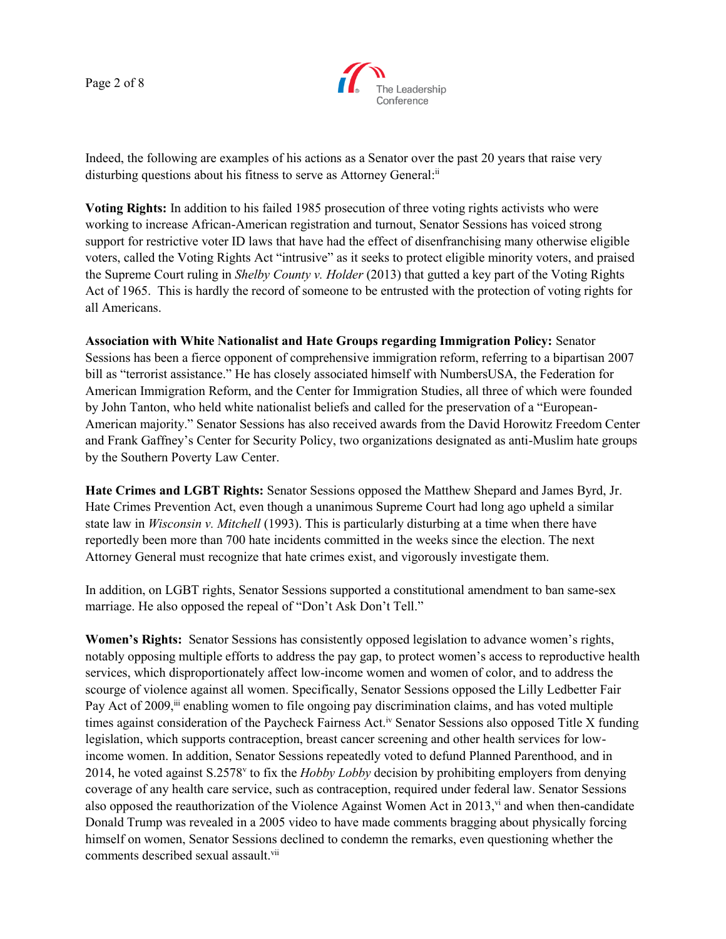Page 2 of 8



Indeed, the following are examples of his actions as a Senator over the past 20 years that raise very disturbing questions about his fitness to serve as Attorney General:<sup>ii</sup>

**Voting Rights:** In addition to his failed 1985 prosecution of three voting rights activists who were working to increase African-American registration and turnout, Senator Sessions has voiced strong support for restrictive voter ID laws that have had the effect of disenfranchising many otherwise eligible voters, called the Voting Rights Act "intrusive" as it seeks to protect eligible minority voters, and praised the Supreme Court ruling in *Shelby County v. Holder* (2013) that gutted a key part of the Voting Rights Act of 1965. This is hardly the record of someone to be entrusted with the protection of voting rights for all Americans.

**Association with White Nationalist and Hate Groups regarding Immigration Policy:** Senator Sessions has been a fierce opponent of comprehensive immigration reform, referring to a bipartisan 2007 bill as "terrorist assistance." He has closely associated himself with NumbersUSA, the Federation for American Immigration Reform, and the Center for Immigration Studies, all three of which were founded by John Tanton, who held white nationalist beliefs and called for the preservation of a "European-American majority." Senator Sessions has also received awards from the David Horowitz Freedom Center and Frank Gaffney's Center for Security Policy, two organizations designated as anti-Muslim hate groups by the Southern Poverty Law Center.

**Hate Crimes and LGBT Rights:** Senator Sessions opposed the Matthew Shepard and James Byrd, Jr. Hate Crimes Prevention Act, even though a unanimous Supreme Court had long ago upheld a similar state law in *Wisconsin v. Mitchell* (1993). This is particularly disturbing at a time when there have reportedly been more than 700 hate incidents committed in the weeks since the election. The next Attorney General must recognize that hate crimes exist, and vigorously investigate them.

In addition, on LGBT rights, Senator Sessions supported a constitutional amendment to ban same-sex marriage. He also opposed the repeal of "Don't Ask Don't Tell."

**Women's Rights:** Senator Sessions has consistently opposed legislation to advance women's rights, notably opposing multiple efforts to address the pay gap, to protect women's access to reproductive health services, which disproportionately affect low-income women and women of color, and to address the scourge of violence against all women. Specifically, Senator Sessions opposed the Lilly Ledbetter Fair Pay Act of 2009,<sup>iii</sup> enabling women to file ongoing pay discrimination claims, and has voted multiple times against consideration of the Paycheck Fairness Act.<sup>iv</sup> Senator Sessions also opposed Title X funding legislation, which supports contraception, breast cancer screening and other health services for lowincome women. In addition, Senator Sessions repeatedly voted to defund Planned Parenthood, and in 2014, he voted against S.2578v to fix the *Hobby Lobby* decision by prohibiting employers from denying coverage of any health care service, such as contraception, required under federal law. Senator Sessions also opposed the reauthorization of the Violence Against Women Act in 2013,  $\dot{v}$  and when then-candidate Donald Trump was revealed in a 2005 video to have made comments bragging about physically forcing himself on women, Senator Sessions declined to condemn the remarks, even questioning whether the comments described sexual assault.<sup>vii</sup>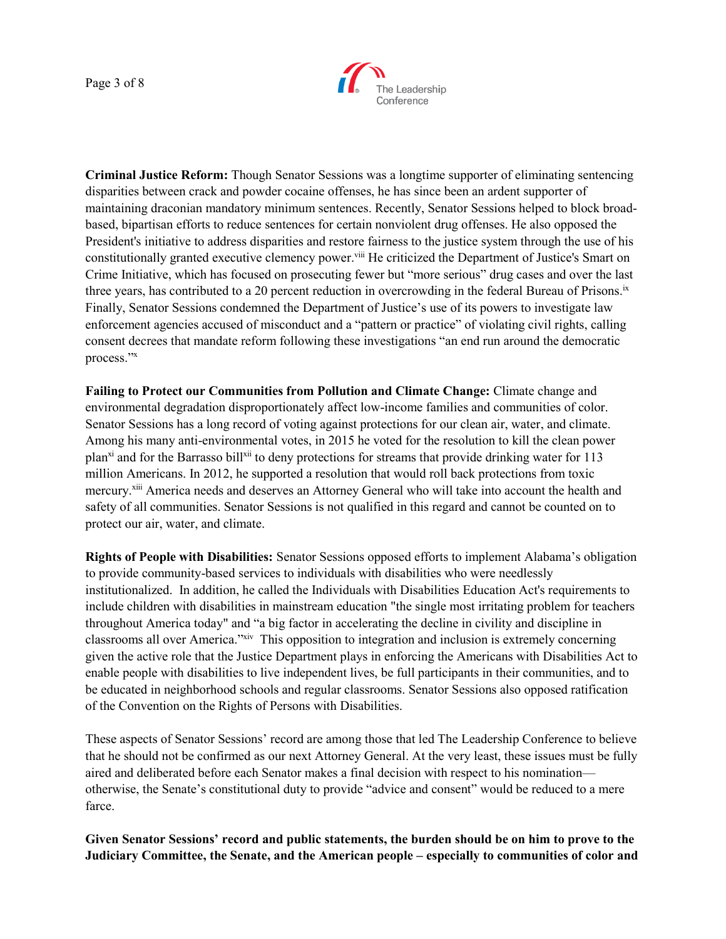

**Criminal Justice Reform:** Though Senator Sessions was a longtime supporter of eliminating sentencing disparities between crack and powder cocaine offenses, he has since been an ardent supporter of maintaining draconian mandatory minimum sentences. Recently, Senator Sessions helped to block broadbased, bipartisan efforts to reduce sentences for certain nonviolent drug offenses. He also opposed the President's initiative to address disparities and restore fairness to the justice system through the use of his constitutionally granted executive clemency power.<sup>viii</sup> He criticized the Department of Justice's Smart on Crime Initiative, which has focused on prosecuting fewer but "more serious" drug cases and over the last three years, has contributed to a 20 percent reduction in overcrowding in the federal Bureau of Prisons.<sup>ix</sup> Finally, Senator Sessions condemned the Department of Justice's use of its powers to investigate law enforcement agencies accused of misconduct and a "pattern or practice" of violating civil rights, calling consent decrees that mandate reform following these investigations "an end run around the democratic process."<sup>x</sup>

**Failing to Protect our Communities from Pollution and Climate Change:** Climate change and environmental degradation disproportionately affect low-income families and communities of color. Senator Sessions has a long record of voting against protections for our clean air, water, and climate. Among his many anti-environmental votes, in 2015 he voted for the resolution to kill the clean power plan<sup>xi</sup> and for the Barrasso bill<sup>xii</sup> to deny protections for streams that provide drinking water for 113 million Americans. In 2012, he supported a resolution that would roll back protections from toxic mercury.<sup>xiii</sup> America needs and deserves an Attorney General who will take into account the health and safety of all communities. Senator Sessions is not qualified in this regard and cannot be counted on to protect our air, water, and climate.

**Rights of People with Disabilities:** Senator Sessions opposed efforts to implement Alabama's obligation to provide community-based services to individuals with disabilities who were needlessly institutionalized. In addition, he called the Individuals with Disabilities Education Act's requirements to include children with disabilities in mainstream education "the single most irritating problem for teachers throughout America today" and "a big factor in accelerating the decline in civility and discipline in classrooms all over America."xiv This opposition to integration and inclusion is extremely concerning given the active role that the Justice Department plays in enforcing the Americans with Disabilities Act to enable people with disabilities to live independent lives, be full participants in their communities, and to be educated in neighborhood schools and regular classrooms. Senator Sessions also opposed ratification of the Convention on the Rights of Persons with Disabilities.

These aspects of Senator Sessions' record are among those that led The Leadership Conference to believe that he should not be confirmed as our next Attorney General. At the very least, these issues must be fully aired and deliberated before each Senator makes a final decision with respect to his nomination otherwise, the Senate's constitutional duty to provide "advice and consent" would be reduced to a mere farce.

**Given Senator Sessions' record and public statements, the burden should be on him to prove to the Judiciary Committee, the Senate, and the American people – especially to communities of color and**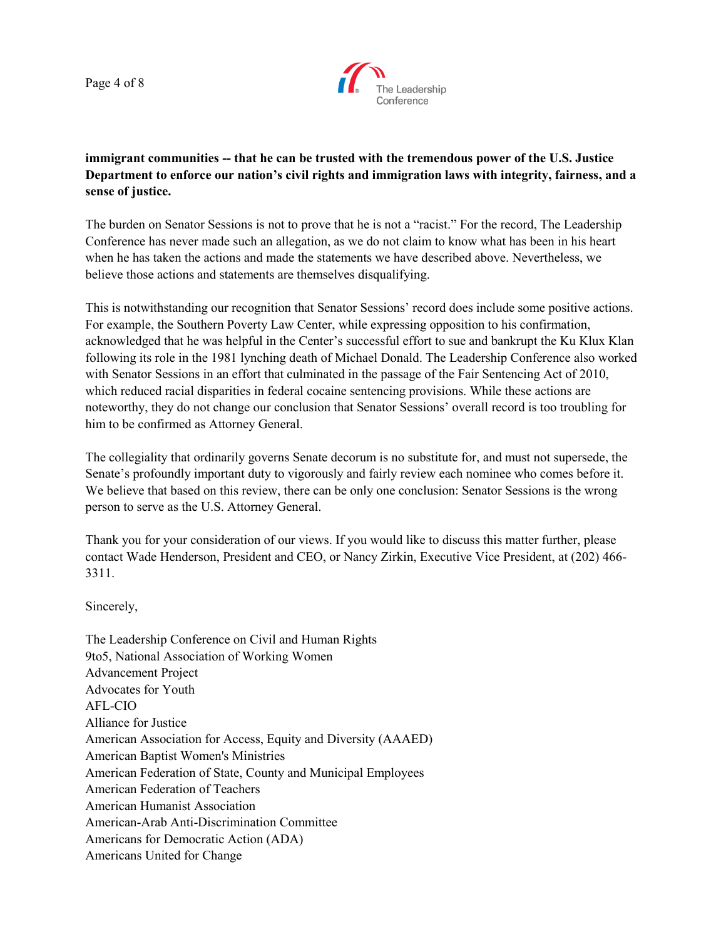Page 4 of 8



## **immigrant communities -- that he can be trusted with the tremendous power of the U.S. Justice Department to enforce our nation's civil rights and immigration laws with integrity, fairness, and a sense of justice.**

The burden on Senator Sessions is not to prove that he is not a "racist." For the record, The Leadership Conference has never made such an allegation, as we do not claim to know what has been in his heart when he has taken the actions and made the statements we have described above. Nevertheless, we believe those actions and statements are themselves disqualifying.

This is notwithstanding our recognition that Senator Sessions' record does include some positive actions. For example, the Southern Poverty Law Center, while expressing opposition to his confirmation, acknowledged that he was helpful in the Center's successful effort to sue and bankrupt the Ku Klux Klan following its role in the 1981 lynching death of Michael Donald. The Leadership Conference also worked with Senator Sessions in an effort that culminated in the passage of the Fair Sentencing Act of 2010, which reduced racial disparities in federal cocaine sentencing provisions. While these actions are noteworthy, they do not change our conclusion that Senator Sessions' overall record is too troubling for him to be confirmed as Attorney General.

The collegiality that ordinarily governs Senate decorum is no substitute for, and must not supersede, the Senate's profoundly important duty to vigorously and fairly review each nominee who comes before it. We believe that based on this review, there can be only one conclusion: Senator Sessions is the wrong person to serve as the U.S. Attorney General.

Thank you for your consideration of our views. If you would like to discuss this matter further, please contact Wade Henderson, President and CEO, or Nancy Zirkin, Executive Vice President, at (202) 466- 3311.

Sincerely,

The Leadership Conference on Civil and Human Rights 9to5, National Association of Working Women Advancement Project Advocates for Youth AFL-CIO Alliance for Justice American Association for Access, Equity and Diversity (AAAED) American Baptist Women's Ministries American Federation of State, County and Municipal Employees American Federation of Teachers American Humanist Association American-Arab Anti-Discrimination Committee Americans for Democratic Action (ADA) Americans United for Change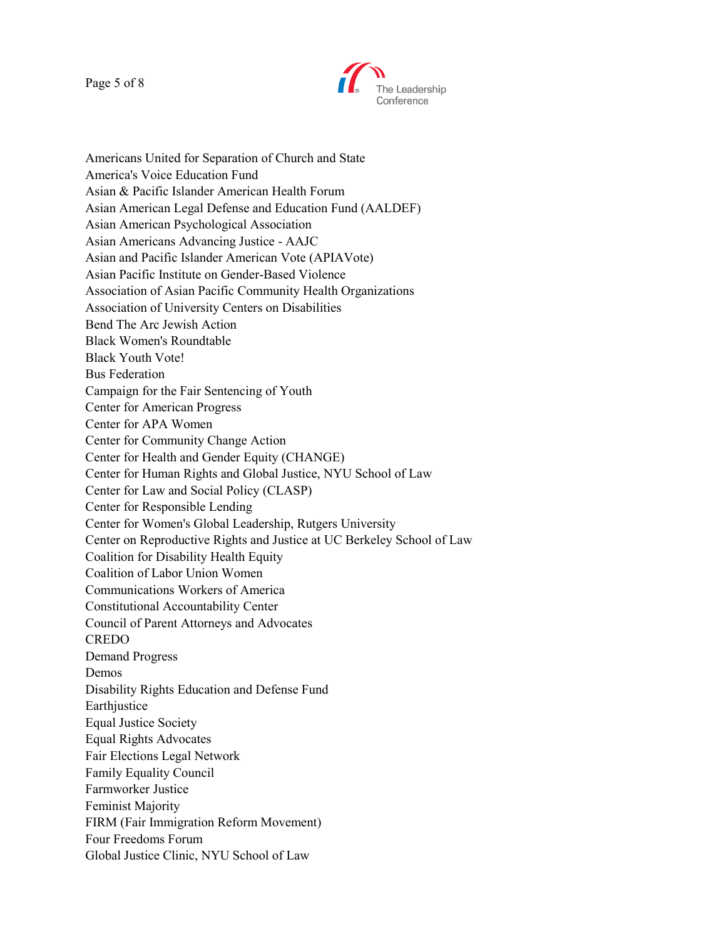Page 5 of 8



Americans United for Separation of Church and State America's Voice Education Fund Asian & Pacific Islander American Health Forum Asian American Legal Defense and Education Fund (AALDEF) Asian American Psychological Association Asian Americans Advancing Justice - AAJC Asian and Pacific Islander American Vote (APIAVote) Asian Pacific Institute on Gender-Based Violence Association of Asian Pacific Community Health Organizations Association of University Centers on Disabilities Bend The Arc Jewish Action Black Women's Roundtable Black Youth Vote! Bus Federation Campaign for the Fair Sentencing of Youth Center for American Progress Center for APA Women Center for Community Change Action Center for Health and Gender Equity (CHANGE) Center for Human Rights and Global Justice, NYU School of Law Center for Law and Social Policy (CLASP) Center for Responsible Lending Center for Women's Global Leadership, Rutgers University Center on Reproductive Rights and Justice at UC Berkeley School of Law Coalition for Disability Health Equity Coalition of Labor Union Women Communications Workers of America Constitutional Accountability Center Council of Parent Attorneys and Advocates CREDO Demand Progress Demos Disability Rights Education and Defense Fund Earthjustice Equal Justice Society Equal Rights Advocates Fair Elections Legal Network Family Equality Council Farmworker Justice Feminist Majority FIRM (Fair Immigration Reform Movement) Four Freedoms Forum Global Justice Clinic, NYU School of Law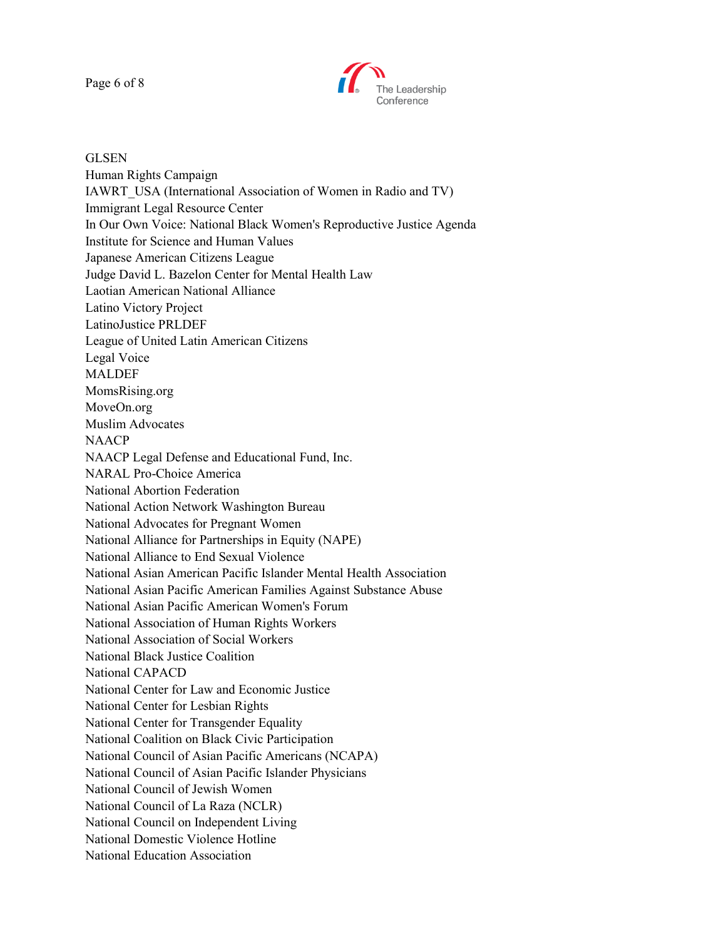Page 6 of 8



**GLSEN** Human Rights Campaign IAWRT\_USA (International Association of Women in Radio and TV) Immigrant Legal Resource Center In Our Own Voice: National Black Women's Reproductive Justice Agenda Institute for Science and Human Values Japanese American Citizens League Judge David L. Bazelon Center for Mental Health Law Laotian American National Alliance Latino Victory Project LatinoJustice PRLDEF League of United Latin American Citizens Legal Voice MALDEF MomsRising.org MoveOn.org Muslim Advocates NAACP NAACP Legal Defense and Educational Fund, Inc. NARAL Pro-Choice America National Abortion Federation National Action Network Washington Bureau National Advocates for Pregnant Women National Alliance for Partnerships in Equity (NAPE) National Alliance to End Sexual Violence National Asian American Pacific Islander Mental Health Association National Asian Pacific American Families Against Substance Abuse National Asian Pacific American Women's Forum National Association of Human Rights Workers National Association of Social Workers National Black Justice Coalition National CAPACD National Center for Law and Economic Justice National Center for Lesbian Rights National Center for Transgender Equality National Coalition on Black Civic Participation National Council of Asian Pacific Americans (NCAPA) National Council of Asian Pacific Islander Physicians National Council of Jewish Women National Council of La Raza (NCLR) National Council on Independent Living National Domestic Violence Hotline National Education Association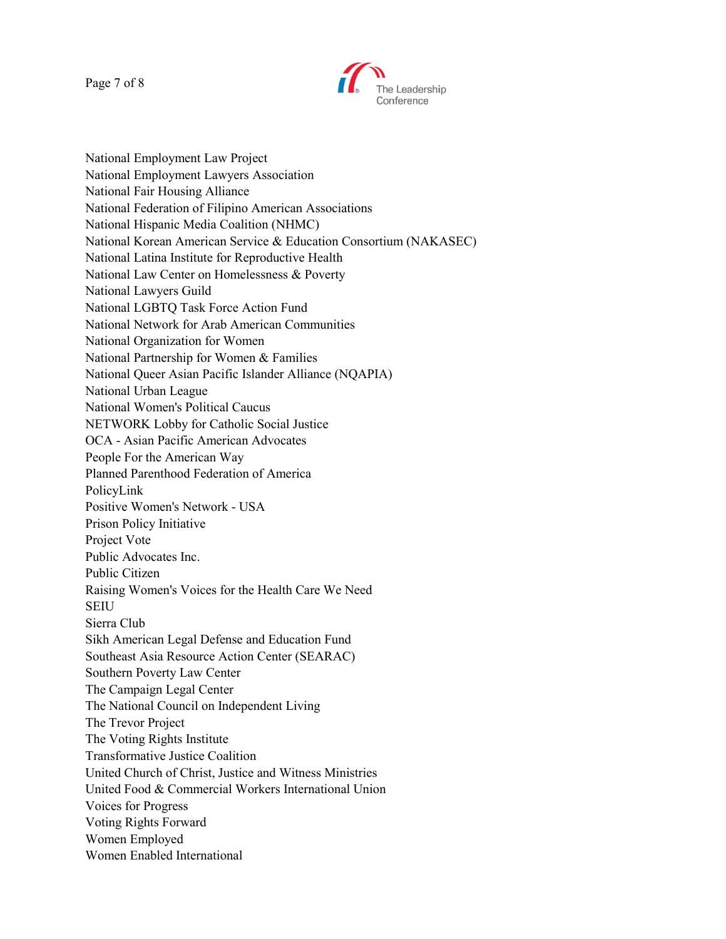Page 7 of 8



National Employment Law Project National Employment Lawyers Association National Fair Housing Alliance National Federation of Filipino American Associations National Hispanic Media Coalition (NHMC) National Korean American Service & Education Consortium (NAKASEC) National Latina Institute for Reproductive Health National Law Center on Homelessness & Poverty National Lawyers Guild National LGBTQ Task Force Action Fund National Network for Arab American Communities National Organization for Women National Partnership for Women & Families National Queer Asian Pacific Islander Alliance (NQAPIA) National Urban League National Women's Political Caucus NETWORK Lobby for Catholic Social Justice OCA - Asian Pacific American Advocates People For the American Way Planned Parenthood Federation of America PolicyLink Positive Women's Network - USA Prison Policy Initiative Project Vote Public Advocates Inc. Public Citizen Raising Women's Voices for the Health Care We Need SEIU Sierra Club Sikh American Legal Defense and Education Fund Southeast Asia Resource Action Center (SEARAC) Southern Poverty Law Center The Campaign Legal Center The National Council on Independent Living The Trevor Project The Voting Rights Institute Transformative Justice Coalition United Church of Christ, Justice and Witness Ministries United Food & Commercial Workers International Union Voices for Progress Voting Rights Forward Women Employed Women Enabled International